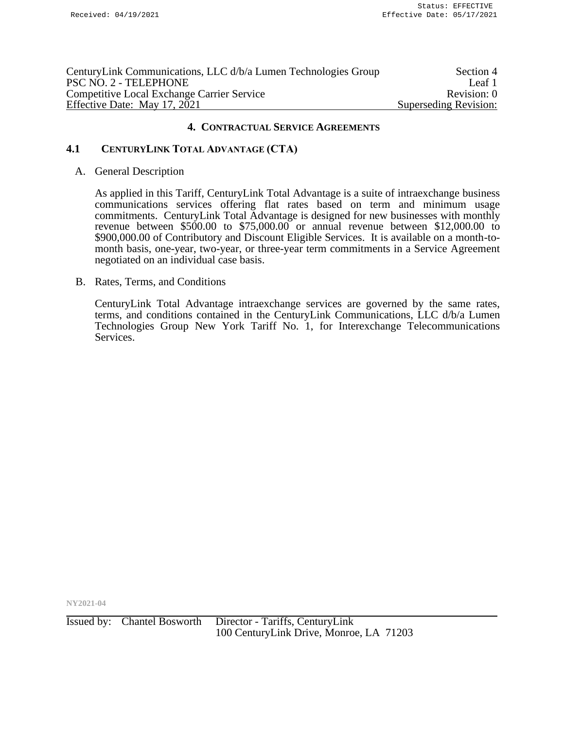| CenturyLink Communications, LLC d/b/a Lumen Technologies Group | Section 4             |
|----------------------------------------------------------------|-----------------------|
| PSC NO. 2 - TELEPHONE                                          | Leaf 1                |
| <b>Competitive Local Exchange Carrier Service</b>              | Revision: 0           |
| Effective Date: May 17, 2021                                   | Superseding Revision: |

# **4.1 CENTURYLINK TOTAL ADVANTAGE (CTA)**

### A. General Description

As applied in this Tariff, CenturyLink Total Advantage is a suite of intraexchange business communications services offering flat rates based on term and minimum usage commitments. CenturyLink Total Advantage is designed for new businesses with monthly revenue between \$500.00 to \$75,000.00 or annual revenue between \$12,000.00 to \$900,000.00 of Contributory and Discount Eligible Services. It is available on a month-tomonth basis, one-year, two-year, or three-year term commitments in a Service Agreement negotiated on an individual case basis.

#### B. Rates, Terms, and Conditions

CenturyLink Total Advantage intraexchange services are governed by the same rates, terms, and conditions contained in the CenturyLink Communications, LLC d/b/a Lumen Technologies Group New York Tariff No. 1, for Interexchange Telecommunications Services.

**NY2021-04**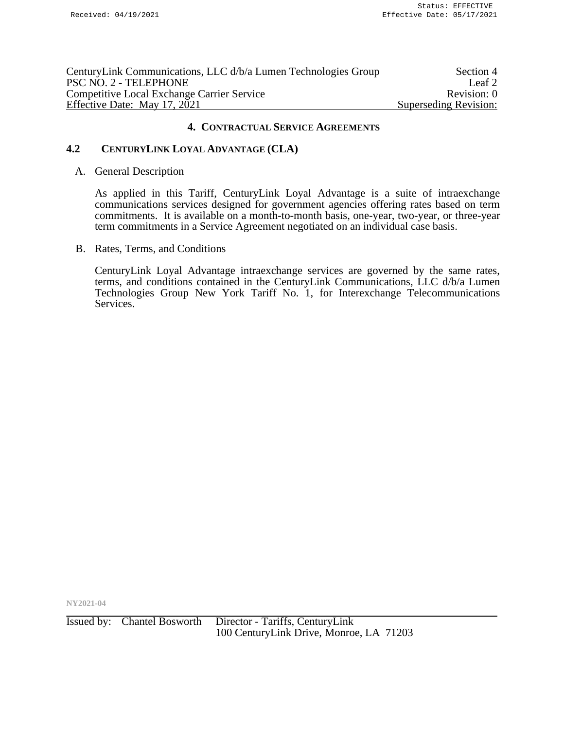| CenturyLink Communications, LLC d/b/a Lumen Technologies Group | Section 4             |
|----------------------------------------------------------------|-----------------------|
| PSC NO. 2 - TELEPHONE                                          | Leaf 2                |
| <b>Competitive Local Exchange Carrier Service</b>              | Revision: 0           |
| Effective Date: May 17, 2021                                   | Superseding Revision: |
|                                                                |                       |

# **4.2 CENTURYLINK LOYAL ADVANTAGE (CLA)**

#### A. General Description

As applied in this Tariff, CenturyLink Loyal Advantage is a suite of intraexchange communications services designed for government agencies offering rates based on term commitments. It is available on a month-to-month basis, one-year, two-year, or three-year term commitments in a Service Agreement negotiated on an individual case basis.

B. Rates, Terms, and Conditions

CenturyLink Loyal Advantage intraexchange services are governed by the same rates, terms, and conditions contained in the CenturyLink Communications, LLC d/b/a Lumen Technologies Group New York Tariff No. 1, for Interexchange Telecommunications Services.

**NY2021-04**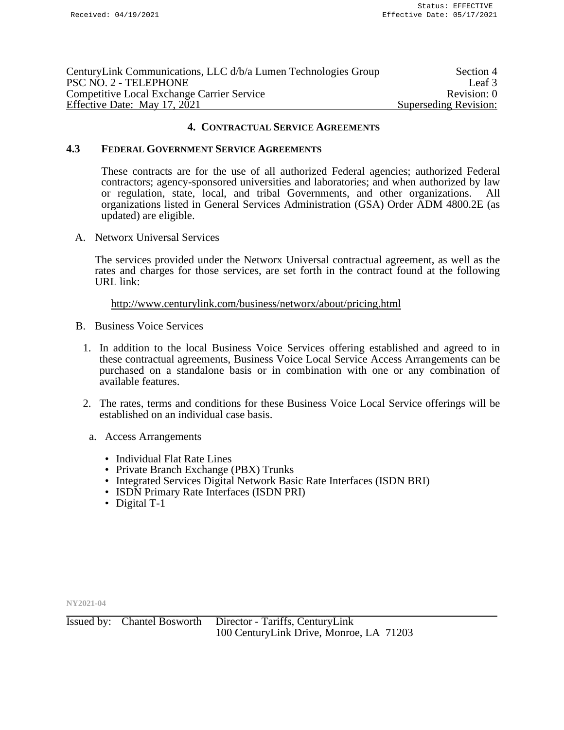| CenturyLink Communications, LLC d/b/a Lumen Technologies Group | Section 4             |
|----------------------------------------------------------------|-----------------------|
| PSC NO. 2 - TELEPHONE                                          | Leaf 3                |
| <b>Competitive Local Exchange Carrier Service</b>              | Revision: 0           |
| Effective Date: May 17, 2021                                   | Superseding Revision: |

### **4.3 FEDERAL GOVERNMENT SERVICE AGREEMENTS**

These contracts are for the use of all authorized Federal agencies; authorized Federal contractors; agency-sponsored universities and laboratories; and when authorized by law or regulation, state, local, and tribal Governments, and other organizations. All organizations listed in General Services Administration (GSA) Order ADM 4800.2E (as updated) are eligible.

A. Networx Universal Services

The services provided under the Networx Universal contractual agreement, as well as the rates and charges for those services, are set forth in the contract found at the following URL link:

<http://www.centurylink.com/business/networx/about/pricing.html>

- B. Business Voice Services
	- 1. In addition to the local Business Voice Services offering established and agreed to in these contractual agreements, Business Voice Local Service Access Arrangements can be purchased on a standalone basis or in combination with one or any combination of available features.
	- 2. The rates, terms and conditions for these Business Voice Local Service offerings will be established on an individual case basis.
		- a. Access Arrangements
			- Individual Flat Rate Lines
			- Private Branch Exchange (PBX) Trunks
			- Integrated Services Digital Network Basic Rate Interfaces (ISDN BRI)
			- ISDN Primary Rate Interfaces (ISDN PRI)
			- Digital T-1

**NY2021-04**